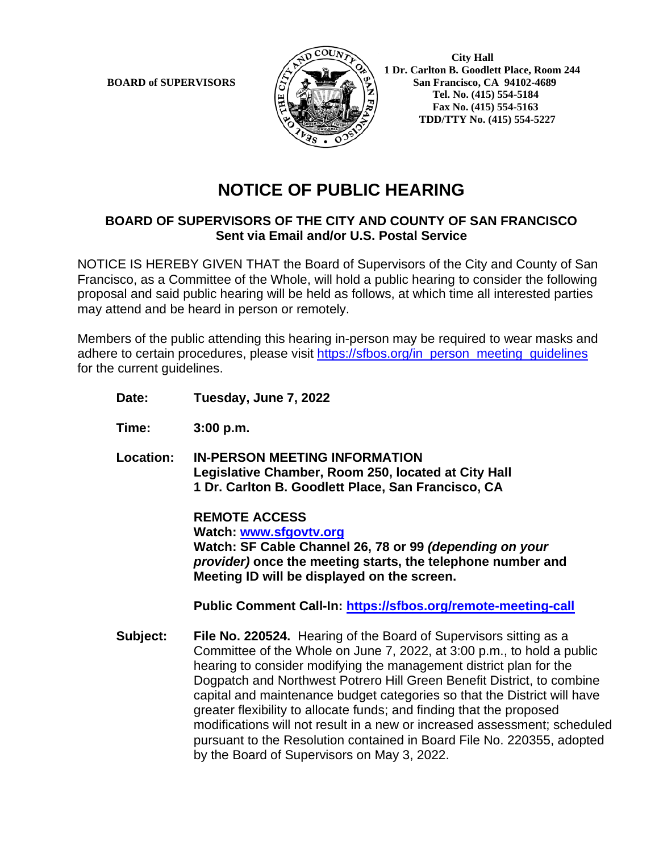

**1 Dr. Carlton B. Goodlett Place, Room 244**<br>**BOARD of SUPERVISORS**  $\left\{\sum_{k=1}^{N} \sum_{k=1}^{N} \sum_{k=1}^{N} \sum_{k=1}^{N} \sum_{k=1}^{N} \sum_{k=1}^{N} \sum_{k=1}^{N} \sum_{k=1}^{N} \sum_{k=1}^{N} \sum_{k=1}^{N} \sum_{k=1}^{N} \sum_{k=1}^{N} \sum_{k=1}^{N} \sum_{k=1}^{N} \sum_{k=1}^{N} \$ **San Francisco, CA 94102-4689 Tel. No. (415) 554-5184 Fax No. (415) 554-5163 TDD/TTY No. (415) 554-5227**

# **NOTICE OF PUBLIC HEARING**

## **BOARD OF SUPERVISORS OF THE CITY AND COUNTY OF SAN FRANCISCO Sent via Email and/or U.S. Postal Service**

NOTICE IS HEREBY GIVEN THAT the Board of Supervisors of the City and County of San Francisco, as a Committee of the Whole, will hold a public hearing to consider the following proposal and said public hearing will be held as follows, at which time all interested parties may attend and be heard in person or remotely.

Members of the public attending this hearing in-person may be required to wear masks and adhere to certain procedures, please visit [https://sfbos.org/in\\_person\\_meeting\\_guidelines](https://sfbos.org/in_person_meeting_guidelines) for the current guidelines.

- **Date: Tuesday, June 7, 2022**
- **Time: 3:00 p.m.**
- **Location: IN-PERSON MEETING INFORMATION Legislative Chamber, Room 250, located at City Hall 1 Dr. Carlton B. Goodlett Place, San Francisco, CA**

**REMOTE ACCESS Watch: [www.sfgovtv.org](http://www.sfgovtv.org/) Watch: SF Cable Channel 26, 78 or 99** *(depending on your provider)* **once the meeting starts, the telephone number and Meeting ID will be displayed on the screen.**

**Public Comment Call-In:<https://sfbos.org/remote-meeting-call>**

**Subject: File No. 220524.** Hearing of the Board of Supervisors sitting as a Committee of the Whole on June 7, 2022, at 3:00 p.m., to hold a public hearing to consider modifying the management district plan for the Dogpatch and Northwest Potrero Hill Green Benefit District, to combine capital and maintenance budget categories so that the District will have greater flexibility to allocate funds; and finding that the proposed modifications will not result in a new or increased assessment; scheduled pursuant to the Resolution contained in Board File No. 220355, adopted by the Board of Supervisors on May 3, 2022.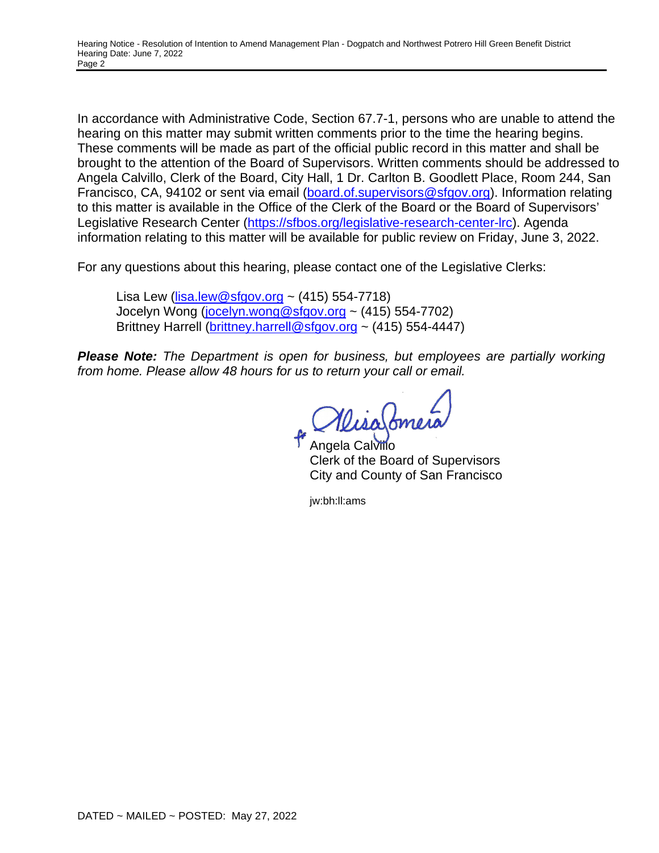In accordance with Administrative Code, Section 67.7-1, persons who are unable to attend the hearing on this matter may submit written comments prior to the time the hearing begins. These comments will be made as part of the official public record in this matter and shall be brought to the attention of the Board of Supervisors. Written comments should be addressed to Angela Calvillo, Clerk of the Board, City Hall, 1 Dr. Carlton B. Goodlett Place, Room 244, San Francisco, CA, 94102 or sent via email [\(board.of.supervisors@sfgov.org\)](mailto:board.of.supervisors@sfgov.org). Information relating to this matter is available in the Office of the Clerk of the Board or the Board of Supervisors' Legislative Research Center [\(https://sfbos.org/legislative-research-center-lrc\)](https://sfbos.org/legislative-research-center-lrc). Agenda information relating to this matter will be available for public review on Friday, June 3, 2022.

For any questions about this hearing, please contact one of the Legislative Clerks:

Lisa Lew ( $lisa.lew@sfgov.org$  ~ (415) 554-7718) Jocelyn Wong [\(jocelyn.wong@sfgov.org](mailto:jocelyn.wong@sfgov.org) ~ (415) 554-7702) Brittney Harrell [\(brittney.harrell@sfgov.org](mailto:brittney.harrell@sfgov.org) ~ (415) 554-4447)

*Please Note: The Department is open for business, but employees are partially working from home. Please allow 48 hours for us to return your call or email.* 

WisaSmer

Angela Calviilo Clerk of the Board of Supervisors City and County of San Francisco

jw:bh:ll:ams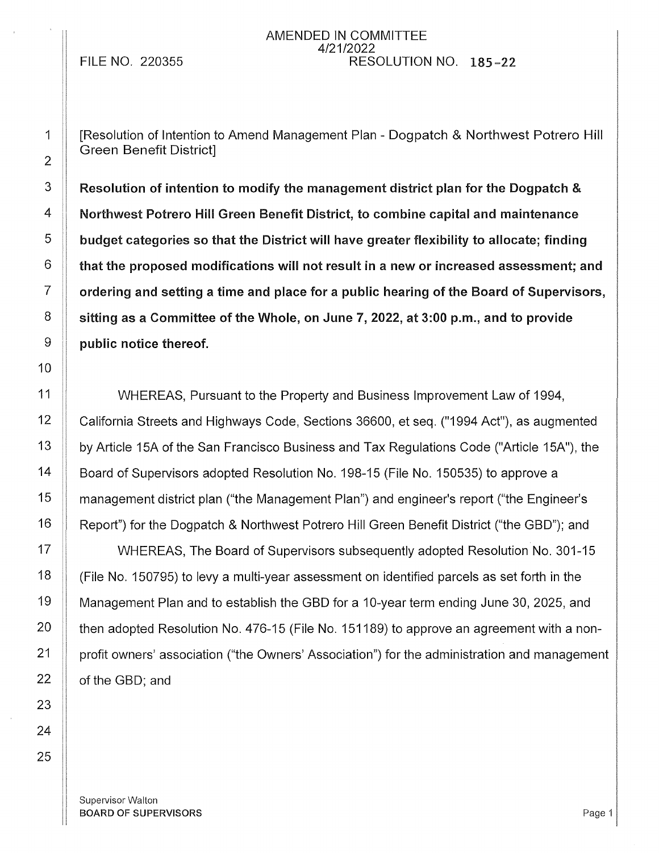FILE NO. 220355

AMENDED IN COMMITTEE 4/21/2022 RESOLUTION NO. 185-22

[Resolution of Intention to Amend Management Plan - Dogpatch & Northwest Potrero Hill Green Benefit District]

Resolution of intention to modify the management district plan for the Dogpatch & Northwest Potrero Hill Green Benefit District, to combine capital and maintenance budget categories so that the District will have greater flexibility to allocate; finding that the proposed modifications will not result in a new or increased assessment; and ordering and setting a time and place for a public hearing of the Board of Supervisors, sitting as a Committee of the Whole, on June 7, 2022, at 3:00 p.m., and to provide public notice thereof.

11 | WHEREAS, Pursuant to the Property and Business Improvement Law of 1994, 12 California Streets and Highways Code, Sections 36600, et seq. ("1994 Act"), as augmented 13 | by Article 15A of the San Francisco Business and Tax Regulations Code ("Article 15A"), the 14 | Board of Supervisors adopted Resolution No. 198-15 (File No. 150535) to approve a 15 | management district plan ("the Management Plan") and engineer's report ("the Engineer's 16 | Report") for the Dogpatch & Northwest Potrero Hill Green Benefit District ("the GBD"); and

17 | WHEREAS, The Board of Supervisors subsequently adopted Resolution No. 301-15  $\parallel$  (File No. 150795) to levy a multi-year assessment on identified parcels as set forth in the 19 | Management Plan and to establish the GBD for a 10-year term ending June 30, 2025, and  $\parallel$  then adopted Resolution No. 476-15 (File No. 151189) to approve an agreement with a non- | profit owners' association ("the Owners' Association") for the administration and management  $\parallel$  of the GBD; and

Supervisor Walton **BOARD OF SUPERVISORS** Page 1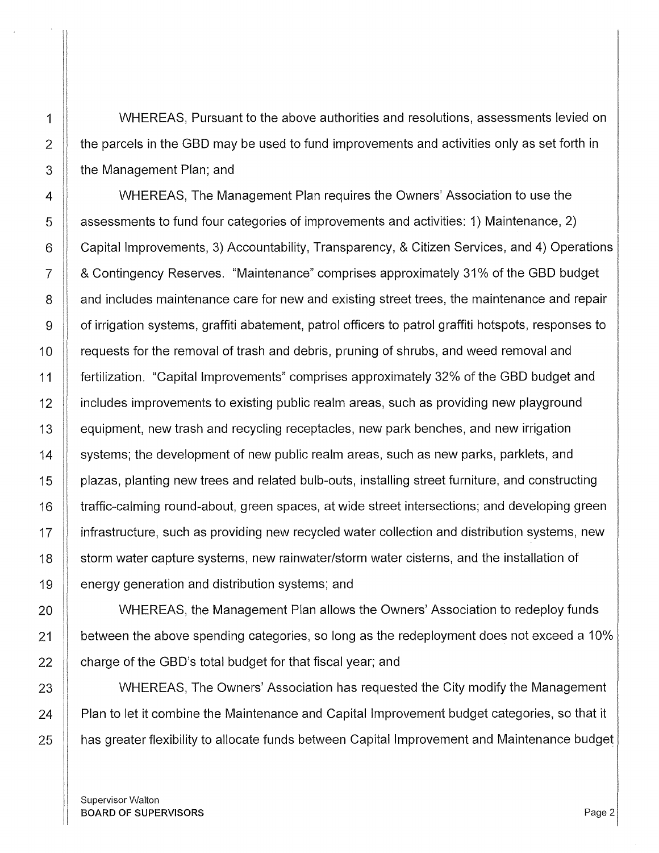1 | WHEREAS, Pursuant to the above authorities and resolutions, assessments levied on 2  $\parallel$  the parcels in the GBD may be used to fund improvements and activities only as set forth in 3 **the Management Plan; and** 

4 **WHEREAS, The Management Plan requires the Owners' Association to use the** 5 assessments to fund four categories of improvements and activities: 1) Maintenance, 2) 6 Capital Improvements, 3) Accountability, Transparency, & Citizen Services, and 4) Operations 7 & Contingency Reserves. "Maintenance" comprises approximately 31 % of the GBD budget 8 **8** and includes maintenance care for new and existing street trees, the maintenance and repair 9 | of irrigation systems, graffiti abatement, patrol officers to patrol graffiti hotspots, responses to 10 | requests for the removal of trash and debris, pruning of shrubs, and weed removal and 11 fertilization. "Capital Improvements" comprises approximately 32% of the GBD budget and 12 **If includes improvements to existing public realm areas, such as providing new playground** 13 **equipment, new trash and recycling receptacles**, new park benches, and new irrigation 14 Systems; the development of new public realm areas, such as new parks, parklets, and 15 | plazas, planting new trees and related bulb-outs, installing street furniture, and constructing 16 | traffic-calming round-about, green spaces, at wide street intersections; and developing green 17 | infrastructure, such as providing new recycled water collection and distribution systems, new 18 storm water capture systems, new rainwater/storm water cisterns, and the installation of 19 **energy generation and distribution systems**; and

20 | WHEREAS, the Management Plan allows the Owners' Association to redeploy funds 21  $\parallel$  between the above spending categories, so long as the redeployment does not exceed a 10%  $22$  | charge of the GBD's total budget for that fiscal year; and

23 Number 23 Numbers, The Owners' Association has requested the City modify the Management  $24$  | Plan to let it combine the Maintenance and Capital Improvement budget categories, so that it 25 | has greater flexibility to allocate funds between Capital Improvement and Maintenance budget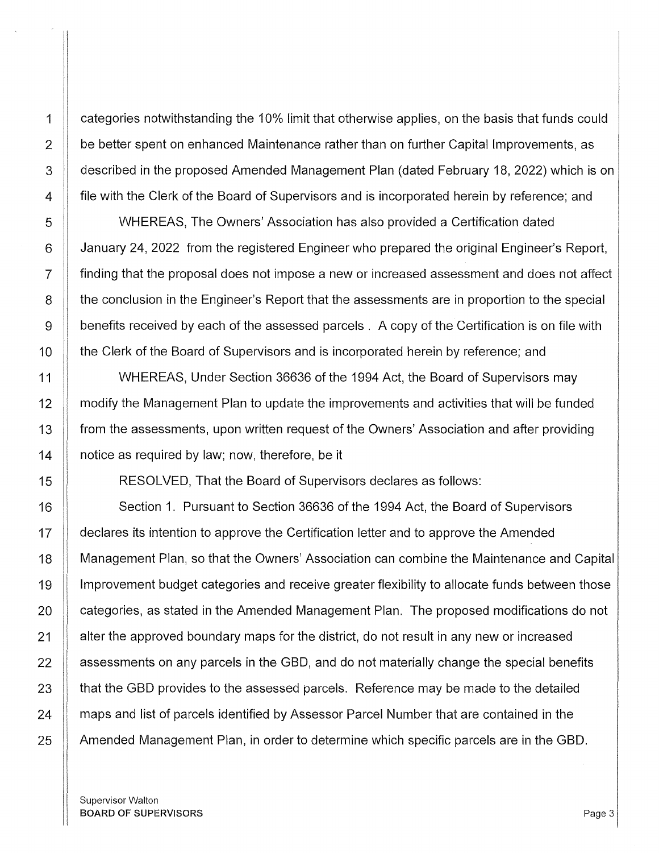1 | categories notwithstanding the 10% limit that otherwise applies, on the basis that funds could 2 **be better spent on enhanced Maintenance rather than on further Capital Improvements, as** 3 described in the proposed Amended Management Plan (dated February 18, 2022) which is on 4 **File with the Clerk of the Board of Supervisors and is incorporated herein by reference; and** 

5 WHEREAS, The Owners' Association has also provided a Certification dated 6 January 24, 2022 from the registered Engineer who prepared the original Engineer's Report, 7 **finding that the proposal does not impose a new or increased assessment and does not affect** 8 **the conclusion in the Engineer's Report that the assessments are in proportion to the special** 9 | benefits received by each of the assessed parcels . A copy of the Certification is on file with 10 | the Clerk of the Board of Supervisors and is incorporated herein by reference; and

11 WHEREAS, Under Section 36636 of the 1994 Act, the Board of Supervisors may 12 | modify the Management Plan to update the improvements and activities that will be funded 13 from the assessments, upon written request of the Owners' Association and after providing 14 **I** notice as required by law; now, therefore, be it

15 RESOLVED, That the Board of Supervisors declares as follows:

16 Section 1. Pursuant to Section 36636 of the 1994 Act, the Board of Supervisors 17 | declares its intention to approve the Certification letter and to approve the Amended 18 | Management Plan, so that the Owners' Association can combine the Maintenance and Capital 19 | Improvement budget categories and receive greater flexibility to allocate funds between those 20 **categories, as stated in the Amended Management Plan.** The proposed modifications do not 21 | alter the approved boundary maps for the district, do not result in any new or increased  $22$   $\parallel$  assessments on any parcels in the GBD, and do not materially change the special benefits  $23$   $\parallel$  that the GBD provides to the assessed parcels. Reference may be made to the detailed 24 | maps and list of parcels identified by Assessor Parcel Number that are contained in the 25 Amended Management Plan, in order to determine which specific parcels are in the GBD.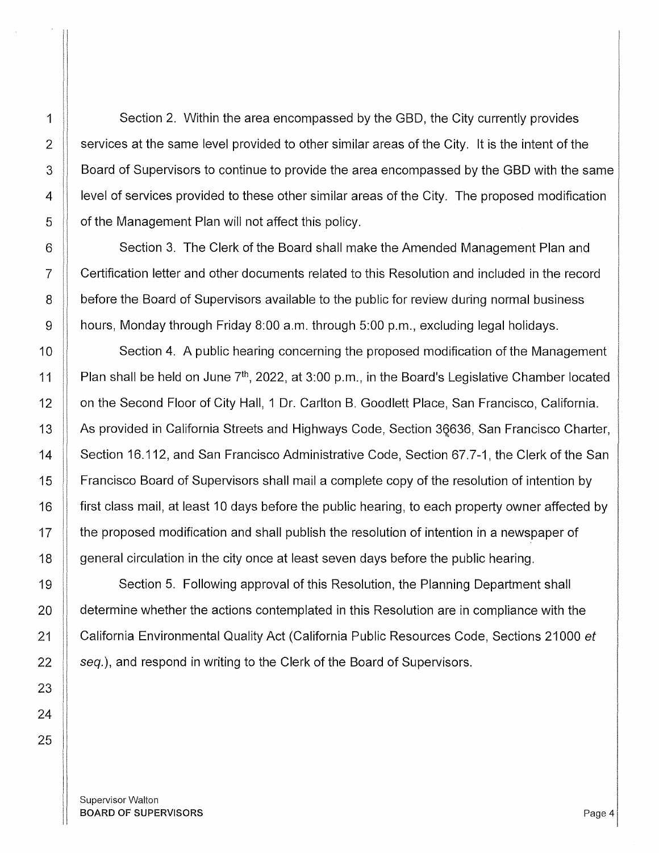1 Section 2. Within the area encompassed by the GBD, the City currently provides  $2 \parallel$  services at the same level provided to other similar areas of the City. It is the intent of the 3 **Board of Supervisors to continue to provide the area encompassed by the GBD with the same** 4 | level of services provided to these other similar areas of the City. The proposed modification  $5$  |  $\sigma$  of the Management Plan will not affect this policy.

6 Section 3. The Clerk of the Board shall make the Amended Management Plan and 7 Certification letter and other documents related to this Resolution and included in the record 8 **before the Board of Supervisors available to the public for review during normal business** 9 hours, Monday through Friday 8:00 a.m. through 5:00 p.m., excluding legal holidays.

10 **Section 4.** A public hearing concerning the proposed modification of the Management 11  $\parallel$  Plan shall be held on June 7<sup>th</sup>, 2022, at 3:00 p.m., in the Board's Legislative Chamber located 12 | on the Second Floor of City Hall, 1 Dr. Carlton B. Goodlett Place, San Francisco, California. 13 As provided in California Streets and Highways Code, Section 36636, San Francisco Charter, 14 | Section 16.112, and San Francisco Administrative Code, Section 67.7-1, the Clerk of the San 15 | Francisco Board of Supervisors shall mail a complete copy of the resolution of intention by 16 **f** first class mail, at least 10 days before the public hearing, to each property owner affected by 17 The proposed modification and shall publish the resolution of intention in a newspaper of 18 **general circulation in the city once at least seven days before the public hearing.** 

19 Section 5. Following approval of this Resolution, the Planning Department shall 20 **determine whether the actions contemplated in this Resolution are in compliance with the** 21 | California Environmental Quality Act (California Public Resources Code, Sections 21000 et  $22$  |  $seq.$ ), and respond in writing to the Clerk of the Board of Supervisors.

Supervisor Walton BOARD OF SUPERVISORS And the state of the state of the state of the state of the state of the state of the state of the state of the state of the state of the state of the state of the state of the state of the state of th

23

24

25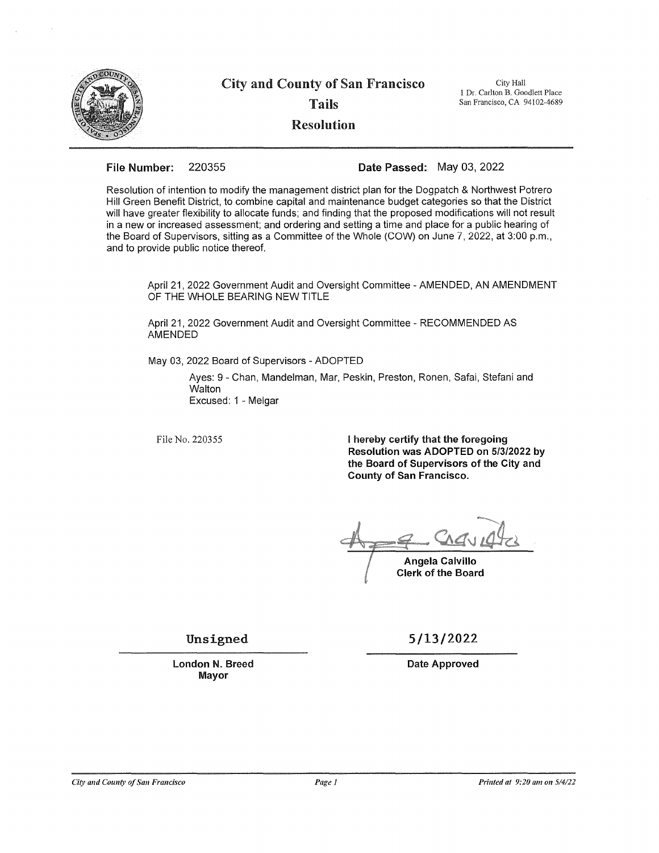

## City and County of San Francisco Tails Resolution

City Hall 1 Dr. Carlton B. Goodlett Place San Francisco, CA 94102-4689

### File Number: 220355 Date Passed: May 03, 2022

Resolution of intention to modify the management district plan for the Dogpatch & Northwest Potrero Hill Green Benefit District, to combine capital and maintenance budget categories so that the District will have greater flexibility to allocate funds; and finding that the proposed modifications will not result in a new or increased assessment; and ordering and setting a time and place for a public hearing of the Board of Supervisors, sitting as a Committee of the Whole (COW) on June *7,* 2022, at 3:00 p.m., and to provide public notice thereof.

April 21, 2022 Government Audit and Oversight Committee - AMENDED, AN AMENDMENT OF THE WHOLE BEARING NEW TITLE

April 21, 2022 Government Audit and Oversight Committee - RECOMMENDED AS AMENDED

May 03, 2022 Board of Supervisors - ADOPTED

Ayes: 9 - Chan, Mandelman, Mar, Peskin, Preston, Ronen, Safai, Stefani and **Walton** Excused: 1 - Melgar

File No. 220355

I hereby certify that the foregoing Resolution was ADOPTED on 5/3/2022 by the Board of Supervisors of the City and County of San Francisco.

Angela Calvillo Clerk of the Board

Unsigned

London N. Breed Mayor

5/13/2022

Date Approved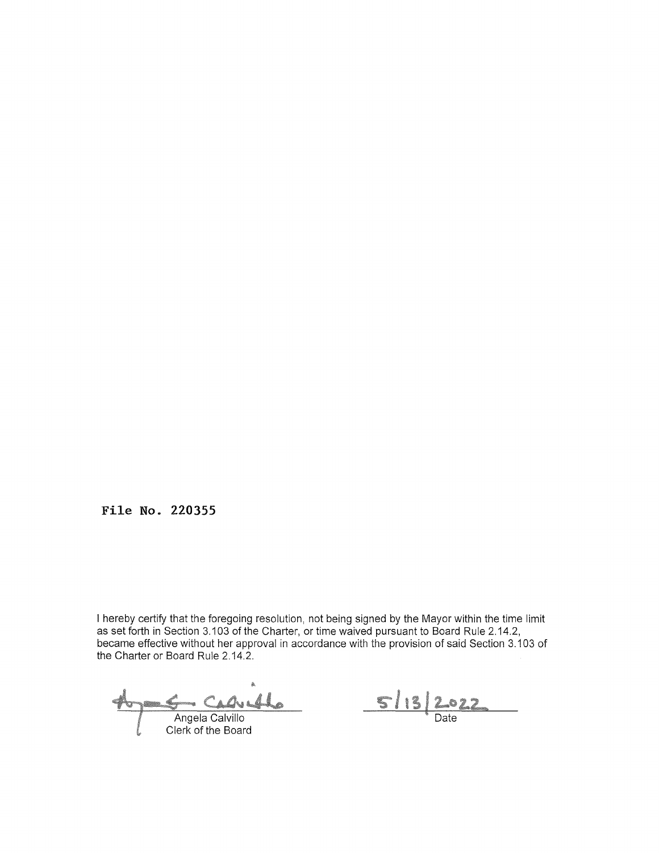**File No. 220355** 

I hereby certify that the foregoing resolution, not being signed by the Mayor within the time limit as set forth in Section 3.103 of the Charter, or time waived pursuant to Board Rule 2.14.2, became effective without her approval in accordance with the provision of said Section 3.103 of the Charter or Board Rule 2.14.2.

Veho

Angela Calvillo<br>Clerk of the Board

<u>5/13</u> <u>.022</u>  $\overline{\mathsf{Date}}$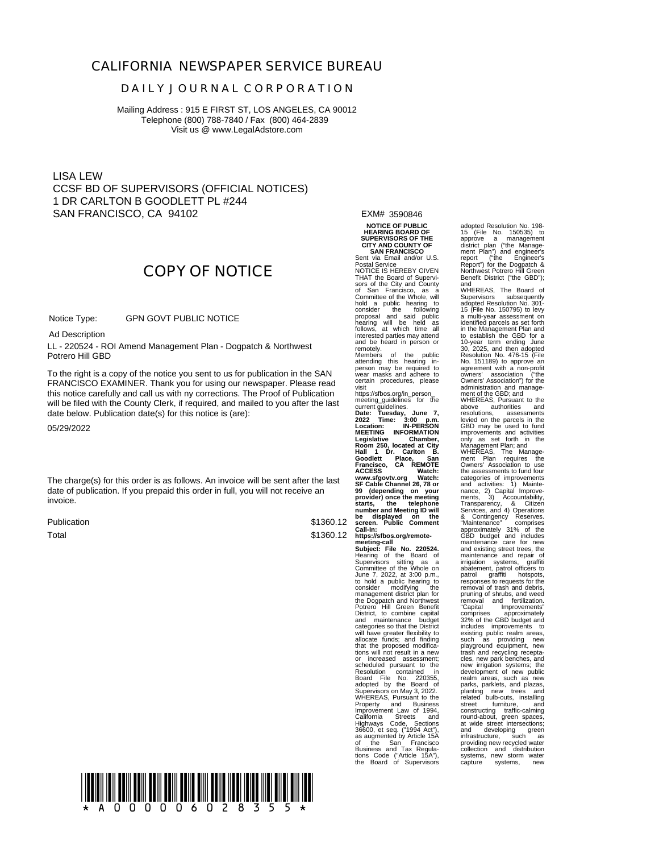### **CALIFORNIA NEWSPAPER SERVICE BUREAU**

### **D A I L Y J O U R N A L C O R P O R A T I O N**

Mailing Address : 915 E FIRST ST, LOS ANGELES, CA 90012 Telephone (800) 788-7840 / Fax (800) 464-2839 Visit us @ www.LegalAdstore.com

LISA LEW CCSF BD OF SUPERVISORS (OFFICIAL NOTICES) 1 DR CARLTON B GOODLETT PL #244 SAN FRANCISCO, CA 94102

**COPY OF NOTICE**

 GPN GOVT PUBLIC NOTICE Notice Type:

Ad Description

Ad Description<br>LL - 220524 - ROI Amend Management Plan - Dogpatch & Northwest Potrero Hill GBD

FRANCISCO EXAMINER. Thank you for using our newspaper. Please read<br>this notice carefully and call us with ny corrections. The Proof of Publication To the right is a copy of the notice you sent to us for publication in the SAN FRANCISCO EXAMINER. Thank you for using our newspaper. Please read will be filed with the County Clerk, if required, and mailed to you after the last date below. Publication date(s) for this notice is (are):

05/29/2022

The charge(s) for this order is as follows. An invoice will be sent after the last date of publication. If you prepaid this order in full, you will not receive an invoice.

Publication Total

\$1360.12 \$1360.12 EXM# 3590846

**NOTICE OF PUBLIC HEARING BOARD OF SUPERVISORS OF THE CITY AND COUNTY OF SAN FRANCISCO**

Sent via Email and/or U.S. Postal Service NOTICE IS HEREBY GIVEN THAT the Board of Supervi-sors of the City and County of San Francisco, as a Committee of the Whole, will hold a public hearing to<br>consider the following<br>proposal and said public<br>hearing will be held as<br>follows, at which time all<br>interested parties may attend and be heard in person or remotely.<br>Members

Members of the public attending this hearing in-person may be required to wear masks and adhere to certain procedures, please<br>visit

visit<br>metering\_quidelines for the<br>meeting\_quidelines for the<br>current guidelines.<br>Date: Tuesday, June 7,<br>2022 Time: 3:00 p.m.<br>Location: IN-PERSON<br>MEETING INFORMATION<br>MEETING INFORMATION<br>Regislative Chamber,<br>Room 250, locate **Goodlett Place, San Francisco, CA REMOTE ACCESS Watch: www.sfgovtv.org Watch:** 99 (depending on your<br>provider) once the meeting<br>starts, the telephone<br>number and Meeting ID will

https://sfbos.org/remote-<br>meeting-call<br>Subject: File No. 220524.<br>Subject: File No. 220524.<br>Supervisors sitting as a<br>Committee of the Whole on<br>to hold a public hearing to<br>toonsider modifying the<br>management district plan for Laleyones so that the District will have greater flexibility to<br>allocate funds; and finding<br>that the proposed modifica-<br>tions will not result in a new<br>or increased assessment: or increased assessment;<br>Scheduled pursuant to the<br>Resolution contained in<br>Board File No. 220355,<br>Supervisors on May 3, 2022.<br>WHEREAS, Pursuant to the Property and Business,<br>California Streets and<br>California Streets and<br>Highways Code, Sections<br>36600, et seq. (\*1994 Act<sup>\*</sup>),<br>36600, et seq. (\*1994 Act\*),<br>650 mes San Tax Regula-<br>bosiness and Tax Regula-<br>the Board of Supervi

adopted Resolution No. 198- 15 (File No. 150535) to approve a management district plan ("the Management Plan") and engineer's report ("the Engineer's Report") for the Dogpatch & Northwest Potrero Hill Green Benefit District ("the GBD")

and WHEREAS, The Board of Supervisors subsequently<br>adopted Resolution No. 301-<br>15 (File No. 150795) to levy<br>a multi-year assessment on<br>identified parcels as set forth in the Management Plan and to establish the GBD for a 10-year term ending June 30, 2025, and then adopted Resolution No. 476-15 (File No. 151189) to approve an agreement with a non-profit owners' association ("the Owners' Association") for the administration and manage-ment of the GBD; and

WHEREAS, Pursuant to the<br>above authorities and<br>resolutions, assessments<br>levied on the parcels in the<br>GBD may be used to fund<br>improvements and activities<br>only as set forth in the

Management Plan; and WHEREAS, The Manage-ment Plan requires the Owners' Association to use the assessments to fund four-<br>categories of improvements<br>categories of improvements<br>and activities: 1) Mainte-<br>names, 2) Capital Improve-<br>ments, 3) Accountability,<br>Services, and 4) Operations<br>Services, and 4) Operations<br>Se trash and recycling recepta-cles, new park benches, and new irrigation systems; the development of new public realm areas, such as new parks, parklets, and plazas, planting new trees and related bulb-outs, installing street furniture, and constructing traffic-calming round-about, green spaces, at wide street intersections; and developing green infrastructure, such as providing new recycled water collection and distribution systems, new storm water capture systems, new

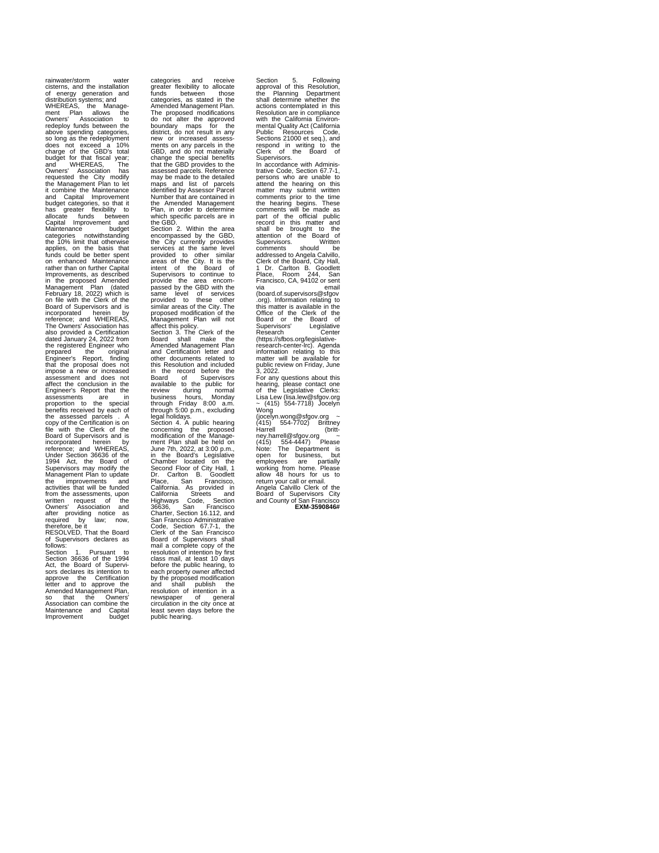rainwater/storm water cisterns, and the installation of energy generation and distribution systems; and WHEREAS, the Manage-<br>ment Plan allows the ment Plan allows the Owners' Association to redeploy funds between the above spending categories, so long as the redeployment does not exceed a 10% charge of the GBD's total budget for that fiscal year;<br>and WHEREAS. The and WHEREAS, The Owners' Association has requested the City modify the Management Plan to let it combine the Maintenance and Capital Improvement budget categories, so that it has greater flexibility to allocate funds between Capital Improvement and Maintenance budget categories notwithstanding the 10% limit that otherwise applies, on the basis that funds could be better spent on enhanced Maintenance rather than on further Capital Improvements, as described in the proposed Amended Management Plan (dated February 18, 2022) which is on file with the Clerk of the Board of Supervisors and is incorporated herein by reference; and WHEREAS, The Owners' Association has also provided a Certification dated January 24, 2022 from the registered Engineer who prepared the original Engineer's Report, finding that the proposal does not impose a new or increased assessment and does not affect the conclusion in the Engineer's Report that the assessments are in proportion to the special benefits received by each of the assessed parcels . A copy of the Certification is on file with the Clerk of the Eile with the Clerk of the<br>Board of Supervisors and is<br>incorporated herein by incorporated herein by<br>
Under Section 36636 of the<br>
1994 Act, the Board of<br>
Supervisors may modify the<br>
Supervisors may modify the<br>
Management Plan to update<br>
the improvements and tion the assessments, upon<br>
from the assessments, upon<br>
triviten required of the<br>
written required by law; now,<br>
required by law; now,<br>
required by law; now,<br>
required by law; now,<br>
required by law; now,<br>
required by the B

Maintenance and<br>Improvement

categories and receive greater flexibility to allocate funds between those categories, as stated in the Amended Management Plan. The proposed modifications do not alter the approved boundary maps for the district, do not result in any new or increased assess ments on any parcels in the GBD, and do not materially change the special benefits that the GBD provides to the assessed parcels. Reference may be made to the detailed maps and list of parcels identified by Assessor Parcel Number that are contained in the Amended Management<br>Plan, in order to determine Plan, in order to determine which specific parcels are in the GBD.

Section 2. Within the area encompassed by the GBD, the City currently provides services at the same level provided to other similar areas of the City. It is the intent of the Board of Supervisors to continue to provide the area encom-passed by the GBD with the same level of services provided to these other similar areas of the City. The proposed modification of the Management Plan will not

affect this policy. Section 3. The Clerk of the Board shall make the Amended Management Plan and Certification letter and other documents related to this Resolution and included in the record before the Board of Supervisors available to the public for review during normal business hours, Monday through Friday 8:00 a.m. through 5:00 p.m., excluding legal holidays. Section 4. A public hearing concerning the proposed modification of the Management Plan shall be held on June 7th, 2022, at 3:00 p.m., in the Board's Legislative Chamber located on the Second Floor of City Hall, 1 Dr. Carlton B. Goodlett Second Fioor of City Hall, The<br>Place, San Francisco,<br>California. As provided in<br>California Streets and Callifornia Streets and<br>
Callifornia Streets and<br>
Highways Code, Section 16.112, and<br>
Stan Francisco Administrative<br>
San Francisco Charlier, Section 67.7-1, the<br>
Clerk of the San Francisco<br>
Board of Supervisors shall<br>
and

public hearing.

Section 5. Following approval of this Resolution, the Planning Department shall determine whether the actions contemplated in this Resolution are in compliance with the California Environ-mental Quality Act (California Public Resources Code, Sections 21000 et seq.), and respond in writing to the Clerk of the Board of Supervisors. In accordance with Adminis-trative Code, Section 67.7-1, persons who are unable to attend the hearing on this matter may submit written comments prior to the time the hearing begins. These comments will be made as part of the official public record in this matter and shall be brought to the attention of the Board of Supervisors. Written comments should be addressed to Angela Calvillo, Clerk of the Board, City Hall, 1 Dr. Carlton B. Goodlett Place, Room 244, San Place, Room 244, San<br>Francisco, CA, 94102 or sent via<br>via email<br>board.of.supervisors@sfgov (board.of.supervisors@sfgov<br>corg). Information relating to<br>org). Information relating to<br>this matter is available in the<br>Board or the Clerk of the<br>Supervisors' Legislative-<br>Research Center-<br>(https://sfbos.org/legislative-<br> ~ (415) 554-7718) Jocelyn<br>Wong<br>(jocelyn.wong@sfgov.org ~<br>(415) 554-7702) Brittney

Harrell@sfgov.org ~<br>
ney.harrell@sfgov.org ~<br>
Note: The Department is<br>
Note: The Department is<br>
open for business, but<br>
employees are partially<br>
working from home. Please<br>
allow 48 hours for us to<br>
return your call or emai Angela Calvillo Clerk of the Board of Supervisors City and County of San Francisco **EXM-3590846#**